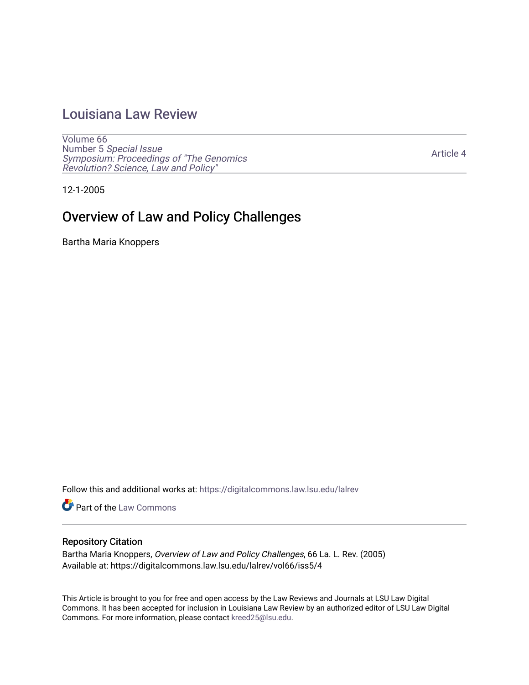## [Louisiana Law Review](https://digitalcommons.law.lsu.edu/lalrev)

[Volume 66](https://digitalcommons.law.lsu.edu/lalrev/vol66) Number 5 [Special Issue](https://digitalcommons.law.lsu.edu/lalrev/vol66/iss5) [Symposium: Proceedings of "The Genomics](https://digitalcommons.law.lsu.edu/lalrev/vol66/iss5)  [Revolution? Science, Law and Policy"](https://digitalcommons.law.lsu.edu/lalrev/vol66/iss5) 

[Article 4](https://digitalcommons.law.lsu.edu/lalrev/vol66/iss5/4) 

12-1-2005

# Overview of Law and Policy Challenges

Bartha Maria Knoppers

Follow this and additional works at: [https://digitalcommons.law.lsu.edu/lalrev](https://digitalcommons.law.lsu.edu/lalrev?utm_source=digitalcommons.law.lsu.edu%2Flalrev%2Fvol66%2Fiss5%2F4&utm_medium=PDF&utm_campaign=PDFCoverPages)

Part of the [Law Commons](https://network.bepress.com/hgg/discipline/578?utm_source=digitalcommons.law.lsu.edu%2Flalrev%2Fvol66%2Fiss5%2F4&utm_medium=PDF&utm_campaign=PDFCoverPages)

#### Repository Citation

Bartha Maria Knoppers, Overview of Law and Policy Challenges, 66 La. L. Rev. (2005) Available at: https://digitalcommons.law.lsu.edu/lalrev/vol66/iss5/4

This Article is brought to you for free and open access by the Law Reviews and Journals at LSU Law Digital Commons. It has been accepted for inclusion in Louisiana Law Review by an authorized editor of LSU Law Digital Commons. For more information, please contact [kreed25@lsu.edu](mailto:kreed25@lsu.edu).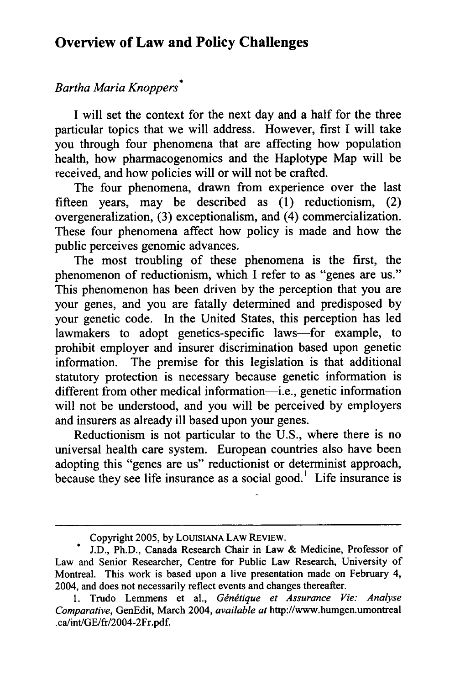## **Overview of Law and Policy Challenges**

### *BarthaMariaKnoppers\**

I will set the context for the next day and a half for the three particular topics that we will address. However, first I will take you through four phenomena that are affecting how population health, how pharmacogenomics and the Haplotype Map will be received, and how policies will or will not be crafted.

The four phenomena, drawn from experience over the last fifteen years, may be described as (1) reductionism, (2) overgeneralization, (3) exceptionalism, and (4) commercialization. These four phenomena affect how policy is made and how the public perceives genomic advances.

The most troubling of these phenomena is the first, the phenomenon of reductionism, which I refer to as "genes are us." This phenomenon has been driven by the perception that you are your genes, and you are fatally determined and predisposed by your genetic code. In the United States, this perception has led lawmakers to adopt genetics-specific laws—for example, to prohibit employer and insurer discrimination based upon genetic information. The premise for this legislation is that additional statutory protection is necessary because genetic information is different from other medical information—i.e., genetic information will not be understood, and you will be perceived by employers and insurers as already ill based upon your genes.

Reductionism is not particular to the U.S., where there is no universal health care system. European countries also have been adopting this "genes are us" reductionist or determinist approach, because they see life insurance as a social good.<sup>1</sup> Life insurance is

Copyright 2005, by LOUISIANA LAW REVIEW.

J.D., Ph.D., Canada Research Chair in Law & Medicine, Professor of Law and Senior Researcher, Centre for Public Law Research, University of Montreal. This work is based upon a live presentation made on February 4, 2004, and does not necessarily reflect events and changes thereafter.

<sup>1.</sup> Trudo Lemmens et al., Génétique et Assurance Vie: Analyse *Comparative,*GenEdit, March 2004, *availableat* <http://www.humgen.umontreal> .ca/int/GE/fr/2004-2Fr.pdf.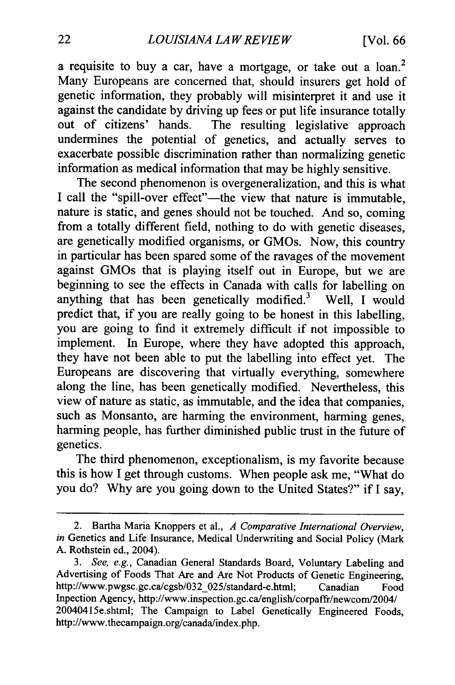a requisite to buy a car, have a mortgage, or take out a loan.<sup>2</sup> Many Europeans are concerned that, should insurers get hold of genetic information, they probably will misinterpret it and use it against the candidate by driving up fees or put life insurance totally<br>out of citizens' hands. The resulting legislative approach The resulting legislative approach undermines the potential of genetics, and actually serves to exacerbate possible discrimination rather than normalizing genetic information as medical information that may be highly sensitive.

The second phenomenon is overgeneralization, and this is what I call the "spill-over effect"-the view that nature is immutable, nature is static, and genes should not be touched. And so, coming from a totally different field, nothing to do with genetic diseases, are genetically modified organisms, or GMOs. Now, this country in particular has been spared some of the ravages of the movement against GMOs that is playing itself out in Europe, but we are beginning to see the effects in Canada with calls for labelling on anything that has been genetically modified.<sup>3</sup> Well, I would predict that, if you are really going to be honest in this labelling, you are going to find it extremely difficult if not impossible to implement. In Europe, where they have adopted this approach, they have not been able to put the labelling into effect yet. The Europeans are discovering that virtually everything, somewhere along the line, has been genetically modified. Nevertheless, this view of nature as static, as immutable, and the idea that companies, such as Monsanto, are harming the environment, harming genes, harming people, has further diminished public trust in the future of genetics.

The third phenomenon, exceptionalism, is my favorite because this is how I get through customs. When people ask me, "What do you do? Why are you going down to the United States?" if I say,

<sup>2.</sup> Bartha Maria Knoppers et al., *A Comparative International Overview*, *in* Genetics and Life Insurance, Medical Underwriting and Social Policy (Mark A. Rothstein ed., 2004).

*<sup>3.</sup> See, e.g.,* Canadian General Standards Board, Voluntary Labeling and Advertising of Foods That Are and Are Not Products of Genetic Engineering, [http://www.pwgsc.gc.ca/cgsb/032\\_025/standard-e.html;](http://www.pwgsc.gc.ca/cgsb/032_025/standard-e.html) Canadian Food Inpection Agency, <http://www.inspection.gc.ca/english/corpaffr/newcom/2004>/ 20040415e.shtml; The Campaign to Label Genetically Engineered Foods, <http://www.thecampaign.org/canada/index.php>.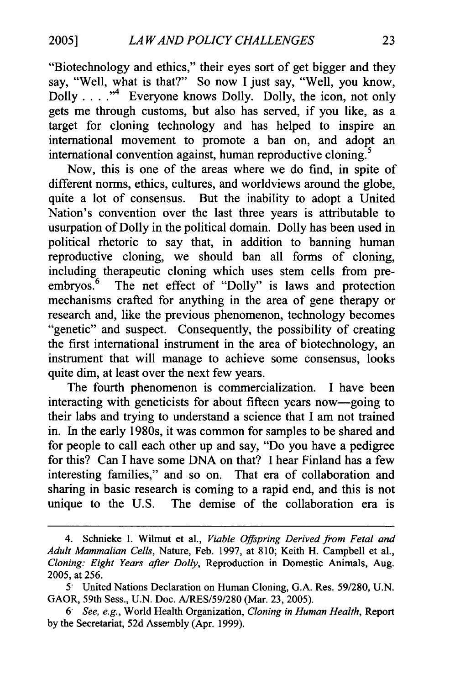"Biotechnology and ethics," their eyes sort of get bigger and they say, "Well, what is that?" So now I just say, "Well, you know, Dolly  $\dots$   $\cdot$ <sup>4</sup> Everyone knows Dolly. Dolly, the icon, not only gets me through customs, but also has served, if you like, as a target for cloning technology and has helped to inspire an international movement to promote a ban on, and adopt an international convention against, human reproductive cloning.<sup>5</sup>

Now, this is one of the areas where we do find, in spite of different norms, ethics, cultures, and worldviews around the globe, quite a lot of consensus. But the inability to adopt a United Nation's convention over the last three years is attributable to usurpation of Dolly in the political domain. Dolly has been used in political rhetoric to say that, in addition to banning human reproductive cloning, we should ban all forms of cloning, including therapeutic cloning which uses stem cells from preembryos.<sup>6</sup> The net effect of "Dolly" is laws and protection mechanisms crafted for anything in the area of gene therapy or research and, like the previous phenomenon, technology becomes "genetic" and suspect. Consequently, the possibility of creating the first international instrument in the area of biotechnology, an instrument that will manage to achieve some consensus, looks quite dim, at least over the next few years.

The fourth phenomenon is commercialization. I have been interacting with geneticists for about fifteen years now-going to their labs and trying to understand a science that I am not trained in. In the early 1980s, it was common for samples to be shared and for people to call each other up and say, "Do you have a pedigree for this? Can I have some DNA on that? I hear Finland has a few interesting families," and so on. That era of collaboration and sharing in basic research is coming to a rapid end, and this is not unique to the U.S. The demise of the collaboration era is

<sup>4.</sup> Schnieke I. Wilmut et al., *Viable Offspring Derived from Fetal and Adult Mammalian Cells,* Nature, Feb. 1997, at 810; Keith H. Campbell et al., *Cloning: Eight Years after Dolly,* Reproduction in Domestic Animals, Aug. *2005,* at 256.

<sup>5&</sup>quot; United Nations Declaration on Human Cloning, G.A. Res. 59/280, U.N. GAOR, 59th Sess., U.N. Doc. A/RES/59/280 (Mar. 23, 2005).

<sup>6&</sup>quot; *See, e.g.,* World Health Organization, *Cloning in HumanHealth,* Report by the Secretariat, 52d Assembly (Apr. 1999).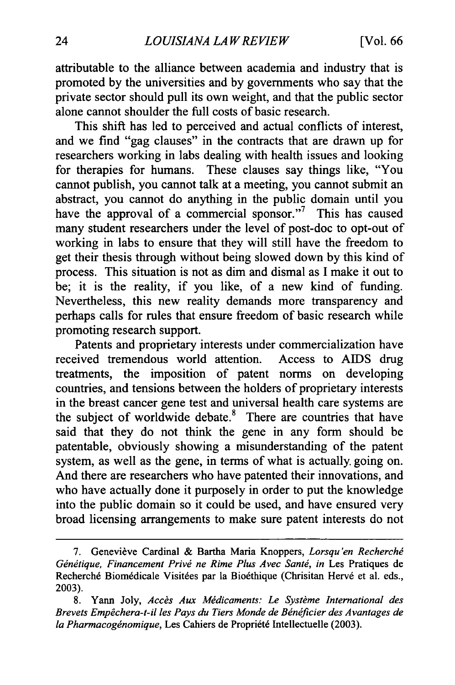attributable to the alliance between academia and industry that is promoted by the universities and by governments who say that the private sector should pull its own weight, and that the public sector alone cannot shoulder the full costs of basic research.

This shift has led to perceived and actual conflicts of interest, and we find "gag clauses" in the contracts that are drawn up for researchers working in labs dealing with health issues and looking for therapies for humans. These clauses say things like, "You cannot publish, you cannot talk at a meeting, you cannot submit an abstract, you cannot do anything in the public domain until you have the approval of a commercial sponsor."<sup>7</sup> This has caused many student researchers under the level of post-doc to opt-out of working in labs to ensure that they will still have the freedom to get their thesis through without being slowed down by this kind of process. This situation is not as dim and dismal as I make it out to be; it is the reality, if you like, of a new kind of funding. Nevertheless, this new reality demands more transparency and perhaps calls for rules that ensure freedom of basic research while promoting research support.

Patents and proprietary interests under commercialization have received tremendous world attention. Access to AIDS drug treatments, the imposition of patent norms on developing countries, and tensions between the holders of proprietary interests in the breast cancer gene test and universal health care systems are the subject of worldwide debate.<sup>8</sup> There are countries that have said that they do not think the gene in any form should be patentable, obviously showing a misunderstanding of the patent system, as well as the gene, in terms of what is actually. going on. And there are researchers who have patented their innovations, and who have actually done it purposely in order to put the knowledge into the public domain so it could be used, and have ensured very broad licensing arrangements to make sure patent interests do not

<sup>7.</sup> Genevieve Cardinal & Bartha Maria Knoppers, *Lorsqu'en Recherchg*  Génétique, Financement Privé ne Rime Plus Avec Santé, in Les Pratiques de Recherché Biomédicale Visitées par la Bioéthique (Chrisitan Hervé et al. eds., 2003).

Yann Joly, *Accès Aux Médicaments: Le Système International des* Brevets Empêchera-t-il les Pays du Tiers Monde de Bénéficier des Avantages de la Pharmacogénomique, Les Cahiers de Propriété Intellectuelle (2003).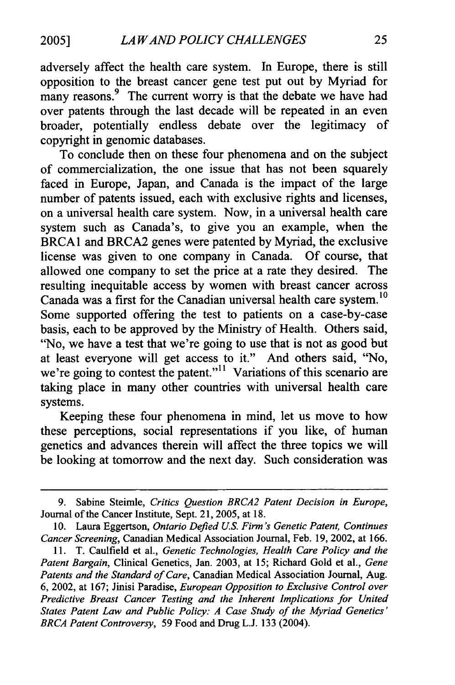adversely affect the health care system. In Europe, there is still opposition to the breast cancer gene test put out by Myriad for many reasons.<sup>9</sup> The current worry is that the debate we have had over patents through the last decade will be repeated in an even broader, potentially endless debate over the legitimacy of copyright in genomic databases.

To conclude then on these four phenomena and on the subject of commercialization, the one issue that has not been squarely faced in Europe, Japan, and Canada is the impact of the large number of patents issued, each with exclusive rights and licenses, on a universal health care system. Now, in a universal health care system such as Canada's, to give you an example, when the BRCA1 and BRCA2 genes were patented by Myriad, the exclusive license was given to one company in Canada. Of course, that allowed one company to set the price at a rate they desired. The resulting inequitable access by women with breast cancer across Canada was a first for the Canadian universal health care system.<sup>10</sup> Some supported offering the test to patients on a case-by-case basis, each to be approved by the Ministry of Health. Others said, "No, we have a test that we're going to use that is not as good but at least everyone will get access to it." And others said, "No, we're going to contest the patent."<sup>11</sup> Variations of this scenario are taking place in many other countries with universal health care systems.

Keeping these four phenomena in mind, let us move to how these perceptions, social representations if you like, of human genetics and advances therein will affect the three topics we will be looking at tomorrow and the next day. Such consideration was

<sup>9.</sup> Sabine Steimle, *Critics Question BRCA2 Patent Decision in Europe,*  Journal of the Cancer Institute, Sept. 21, 2005, at 18.

<sup>10.</sup> Laura Eggertson, *Ontario Defied U.S. Firm's Genetic Patent, Continues CancerScreening,*Canadian Medical Association Journal, Feb. 19, 2002, at 166.

<sup>11.</sup> T. Caulfield et al., *Genetic Technologies, Health Care Policy and the PatentBargain,* Clinical Genetics, Jan. 2003, at 15; Richard Gold et al., *Gene*  Patents and the Standard of Care, Canadian Medical Association Journal, Aug. 6, 2002, at 167; Jinisi Paradise, *European Opposition to Exclusive Controlover Predictive Breast Cancer Testing and the Inherent Implications for United States Patent Law and Public Policy: A Case Study of the Myriad Genetics' BRCA Patent Controversy,* 59 Food and Drug L.J. 133 (2004).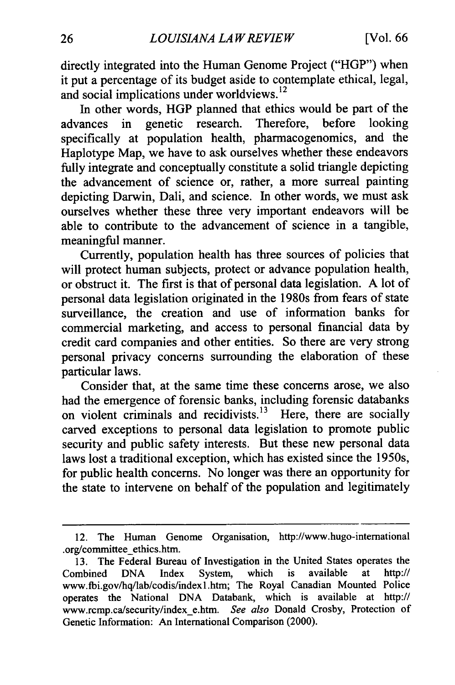directly integrated into the Human Genome Project ("HGP") when it put a percentage of its budget aside to contemplate ethical, legal, and social implications under worldviews.<sup>12</sup>

In other words, HGP planned that ethics would be part of the ances in genetic research. Therefore, before looking advances in genetic research. Therefore, before looking specifically at population health, pharmacogenomics, and the Haplotype Map, we have to ask ourselves whether these endeavors fully integrate and conceptually constitute a solid triangle depicting the advancement of science or, rather, a more surreal painting depicting Darwin, Dali, and science. In other words, we must ask ourselves whether these three very important endeavors will be able to contribute to the advancement of science in a tangible, meaningful manner.

Currently, population health has three sources of policies that will protect human subjects, protect or advance population health, or obstruct it. The first is that of personal data legislation. A lot of personal data legislation originated in the 1980s from fears of state surveillance, the creation and use of information banks for commercial marketing, and access to personal financial data **by**  credit card companies and other entities. So there are very strong personal privacy concerns surrounding the elaboration of these particular laws.

Consider that, at the same time these concerns arose, we also had the emergence of forensic banks, including forensic databanks on violent criminals and recidivists.<sup>13</sup> Here, there are socially carved exceptions to personal data legislation to promote public security and public safety interests. But these new personal data laws lost a traditional exception, which has existed since the 1950s, for public health concerns. No longer was there an opportunity for the state to intervene on behalf of the population and legitimately

<sup>12.</sup> The Human Genome Organisation, <http://www.hugo-intemational> .org/committee ethics.htm.

**<sup>13.</sup>** The Federal Bureau of Investigation in the United States operates the Combined DNA Index System, which is available at http:// [www.fbi.gov/hq/lab/codis/indexl.htm;](www.fbi.gov/hq/lab/codis/indexl.htm) The Royal Canadian Mounted Police operates the National DNA Databank, which is available at http:// <www.rcmp.ca/security/index> e.htm. *See also* Donald Crosby, Protection of Genetic Information: An International Comparison (2000).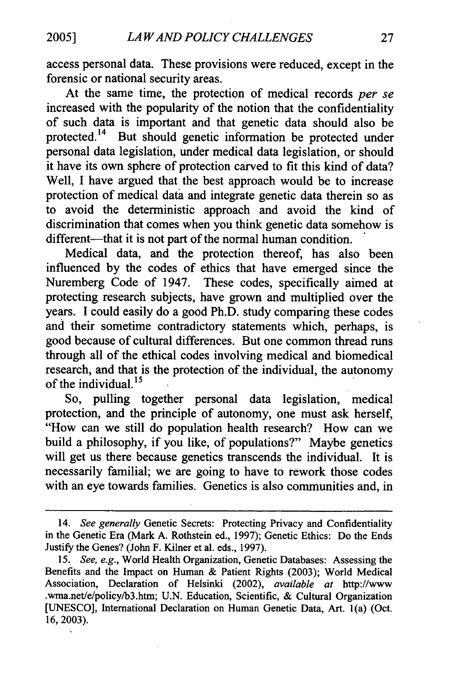access personal data. These provisions were reduced, except in the forensic or national security areas.

At the same time, the protection of medical records *per se*  increased with the popularity of the notion that the confidentiality of such data is important and that genetic data should also be [protected.14](https://protected.14) But should genetic information be protected under personal data legislation, under medical data legislation, or should it have its own sphere of protection carved to fit this kind of data? Well, I have argued that the best approach would be to increase protection of medical data and integrate genetic data therein so as to avoid the deterministic approach and avoid the kind of discrimination that comes when you think genetic data somehow is different-----that it is not part of the normal human condition.

Medical data, and the protection thereof, has also been influenced by the codes of ethics that have emerged since the Nuremberg Code of 1947. These codes, specifically aimed at protecting research subjects, have grown and multiplied over the years. I could easily do a good Ph.D. study comparing these codes and their sometime contradictory statements which, perhaps, is good because of cultural differences. But one common thread runs through all of the ethical codes involving medical and biomedical research, and that is the protection of the individual, the autonomy of the individual.<sup>15</sup>

So, pulling together personal data legislation, medical protection, and the principle of autonomy, one must ask herself, "How can we still do population health research? How can we build a philosophy, if you like, of populations?" Maybe genetics will get us there because genetics transcends the individual. It is necessarily familial; we are going to have to rework those codes with an eye towards families. Genetics is also communities and, in

<sup>14.</sup> *See generally* Genetic Secrets: Protecting Privacy and Confidentiality in the Genetic Era (Mark A. Rothstein ed., 1997); Genetic Ethics: Do the Ends Justify the Genes? (John F. Kilner et al. eds., 1997).

<sup>15.</sup> *See, e.g.,* World Health Organization, Genetic Databases: Assessing the Benefits and the Impact on Human & Patient Rights (2003); World Medical Association, Declaration of Helsinki (2002), *available at* <http://www> [.wma.net/e/policy/b3.](https://wma.net/e/policy/b3)htm; U.N. Education, Scientific, & Cultural Organization [UNESCO], International Declaration on Human Genetic Data, Art. l(a) (Oct. 16, 2003).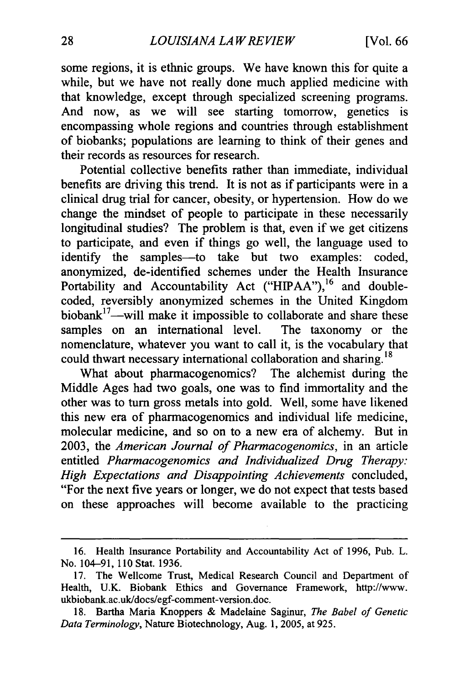some regions, it is ethnic groups. We have known this for quite a while, but we have not really done much applied medicine with that knowledge, except through specialized screening programs. And now, as we will see starting tomorrow, genetics is encompassing whole regions and countries through establishment of biobanks; populations are learning to think of their genes and their records as resources for research.

Potential collective benefits rather than immediate, individual benefits are driving this trend. It is not as if participants were in a clinical drug trial for cancer, obesity, or hypertension. How do we change the mindset of people to participate in these necessarily longitudinal studies? The problem is that, even if we get citizens to participate, and even if things go well, the language used to identify the samples--to take but two examples: coded, anonymized, de-identified schemes under the Health Insurance Portability and Accountability Act ("HIPAA"),<sup>16</sup> and doublecoded, reversibly anonymized schemes in the United Kingdom  $biobank<sup>17</sup>$ -will make it impossible to collaborate and share these samples on an international level. The taxonomy or the nomenclature, whatever you want to call it, is the vocabulary that could thwart necessary international collaboration and sharing.<sup>18</sup>

What about pharmacogenomics? The alchemist during the Middle Ages had two goals, one was to find immortality and the other was to turn gross metals into gold. Well, some have likened this new era of pharmacogenomics and individual life medicine, molecular medicine, and so on to a new era of alchemy. But in 2003, the *American Journal of Pharmacogenomics,*in an article entitled *Pharmacogenomics and Individualized Drug Therapy:*  High Expectations and Disappointing Achievements concluded, "For the next five years or longer, we do not expect that tests based on these approaches will become available to the practicing

<sup>16.</sup> Health Insurance Portability and Accountability Act of 1996, Pub. L. No. 104-91, 110 Stat. 1936.

<sup>17.</sup> The Wellcome Trust, Medical Research Council and Department of Health, U.K. Biobank Ethics and Governance Framework, [http://www.](http://www) ukbiobank.ac.uk/docs/egf-comment-version.doc.

<sup>18.</sup> Bartha Maria Knoppers & Madelaine Saginur, *The Babel of Genetic Data Terminology,* Nature Biotechnology, Aug. 1, 2005, at 925.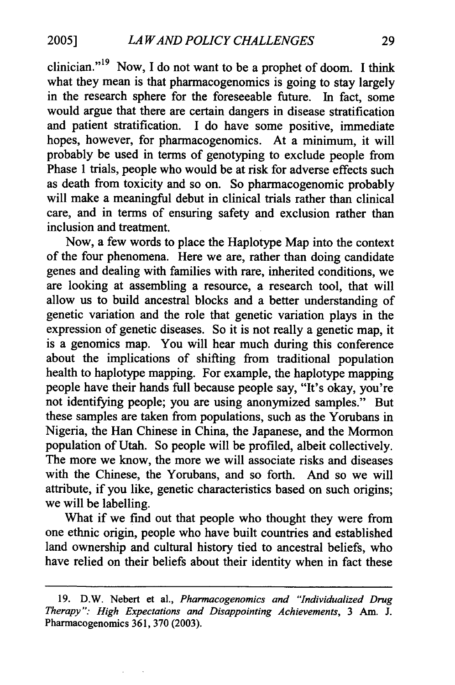clinician."<sup>19</sup> Now, I do not want to be a prophet of doom. I think what they mean is that pharmacogenomics is going to stay largely in the research sphere for the foreseeable future. In fact, some would argue that there are certain dangers in disease stratification and patient stratification. I do have some positive, immediate hopes, however, for pharmacogenomics. At a minimum, it will probably be used in terms of genotyping to exclude people from Phase 1 trials, people who would be at risk for adverse effects such as death from toxicity and so on. So pharmacogenomic probably will make a meaningful debut in clinical trials rather than clinical care, and in terms of ensuring safety and exclusion rather than inclusion and treatment.

Now, a few words to place the Haplotype Map into the context of the four phenomena. Here we are, rather than doing candidate genes and dealing with families with rare, inherited conditions, we are looking at assembling a resource, a research tool, that will allow us to build ancestral blocks and a better understanding of genetic variation and the role that genetic variation plays in the expression of genetic diseases. So it is not really a genetic map, it is a genomics map. You will hear much during this conference about the implications of shifting from traditional population health to haplotype mapping. For example, the haplotype mapping people have their hands full because people say, "It's okay, you're not identifying people; you are using anonymized samples." But these samples are taken from populations, such as the Yorubans in Nigeria, the Han Chinese in China, the Japanese, and the Mormon population of Utah. So people will be profiled, albeit collectively. The more we know, the more we will associate risks and diseases with the Chinese, the Yorubans, and so forth. And so we will attribute, if you like, genetic characteristics based on such origins; we will be labelling.

What if we find out that people who thought they were from one ethnic origin, people who have built countries and established land ownership and cultural history tied to ancestral beliefs, who have relied on their beliefs about their identity when in fact these

<sup>19.</sup> D.W. Nebert et al., *Pharmacogenomics and "Individualized Drug Therapy": High Expectations and Disappointing Achievements,* 3 Am. J. Pharmacogenomics 361, 370 (2003).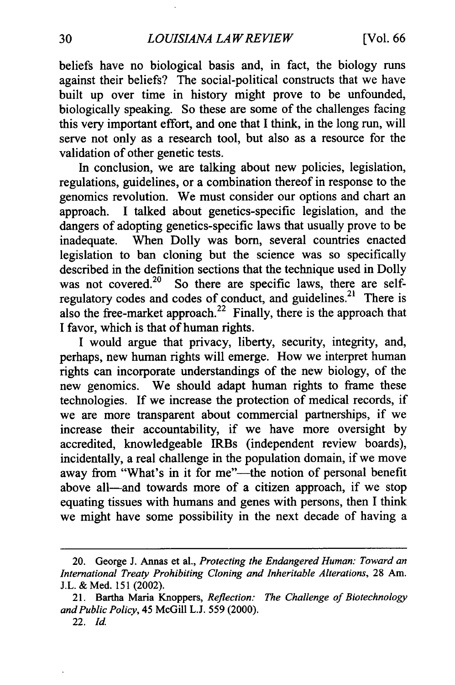beliefs have no biological basis and, in fact, the biology runs against their beliefs? The social-political constructs that we have built up over time in history might prove to be unfounded, biologically speaking. So these are some of the challenges facing this very important effort, and one that I think, in the long run, will serve not only as a research tool, but also as a resource for the validation of other genetic tests.

In conclusion, we are talking about new policies, legislation, regulations, guidelines, or a combination thereof in response to the genomics revolution. We must consider our options and chart an approach. I talked about genetics-specific legislation, and the dangers of adopting genetics-specific laws that usually prove to be inadequate. When Dolly was born, several countries enacted legislation to ban cloning but the science was so specifically described in the definition sections that the technique used in Dolly was not covered.<sup>20</sup> So there are specific laws, there are selfregulatory codes and codes of conduct, and guidelines.<sup>21</sup> There is also the free-market approach.<sup>22</sup> Finally, there is the approach that I favor, which is that of human rights.

I would argue that privacy, liberty, security, integrity, and, perhaps, new human rights will emerge. How we interpret human rights can incorporate understandings of the new biology, of the new genomics. We should adapt human rights to frame these technologies. If we increase the protection of medical records, if we are more transparent about commercial partnerships, if we increase their accountability, if we have more oversight by accredited, knowledgeable IRBs (independent review boards), incidentally, a real challenge in the population domain, if we move away from "What's in it for me"---the notion of personal benefit above all—and towards more of a citizen approach, if we stop equating tissues with humans and genes with persons, then I think we might have some possibility in the next decade of having a

<sup>20.</sup> George J. Annas et al., *Protecting the Endangered Human: Toward an* International Treaty Prohibiting Cloning and Inheritable Alterations, 28 Am. J.L. & Med. 151 (2002).

<sup>21.</sup> Bartha Maria Knoppers, *Reflection: The Challenge of Biotechnology andPublicPolicy,*45 McGill L.J. 559 (2000).

<sup>22.</sup> Id.